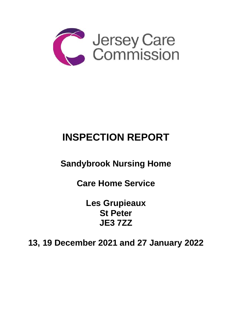

# **INSPECTION REPORT**

## **Sandybrook Nursing Home**

**Care Home Service** 

**Les Grupieaux St Peter JE3 7ZZ** 

**13, 19 December 2021 and 27 January 2022**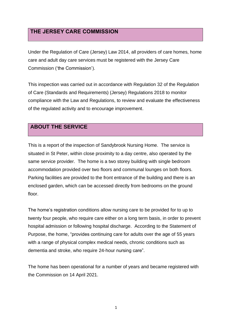## **THE JERSEY CARE COMMISSION**

Under the Regulation of Care (Jersey) Law 2014, all providers of care homes, home care and adult day care services must be registered with the Jersey Care Commission ('the Commission').

This inspection was carried out in accordance with Regulation 32 of the Regulation of Care (Standards and Requirements) (Jersey) Regulations 2018 to monitor compliance with the Law and Regulations, to review and evaluate the effectiveness of the regulated activity and to encourage improvement.

## **ABOUT THE SERVICE**

This is a report of the inspection of Sandybrook Nursing Home. The service is situated in St Peter, within close proximity to a day centre, also operated by the same service provider. The home is a two storey building with single bedroom accommodation provided over two floors and communal lounges on both floors. Parking facilities are provided to the front entrance of the building and there is an enclosed garden, which can be accessed directly from bedrooms on the ground floor.

The home's registration conditions allow nursing care to be provided for to up to twenty four people, who require care either on a long term basis, in order to prevent hospital admission or following hospital discharge. According to the Statement of Purpose, the home, "provides continuing care for adults over the age of 55 years with a range of physical complex medical needs, chronic conditions such as dementia and stroke, who require 24-hour nursing care".

The home has been operational for a number of years and became registered with the Commission on 14 April 2021.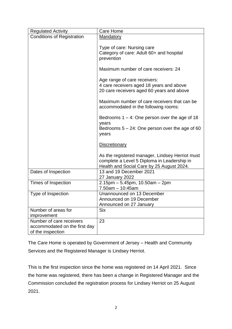| <b>Regulated Activity</b>                                                      | Care Home                                                                                                                                   |
|--------------------------------------------------------------------------------|---------------------------------------------------------------------------------------------------------------------------------------------|
| <b>Conditions of Registration</b>                                              | Mandatory                                                                                                                                   |
|                                                                                | Type of care: Nursing care<br>Category of care: Adult 60+ and hospital<br>prevention                                                        |
|                                                                                | Maximum number of care receivers: 24                                                                                                        |
|                                                                                | Age range of care receivers:<br>4 care receivers aged 18 years and above<br>20 care receivers aged 60 years and above                       |
|                                                                                | Maximum number of care receivers that can be<br>accommodated in the following rooms:                                                        |
|                                                                                | Bedrooms $1 - 4$ : One person over the age of 18<br>years<br>Bedrooms $5 - 24$ : One person over the age of 60<br>years                     |
|                                                                                | <b>Discretionary</b>                                                                                                                        |
|                                                                                | As the registered manager, Lindsey Herriot must<br>complete a Level 5 Diploma in Leadership in<br>Health and Social Care by 25 August 2024. |
| Dates of Inspection                                                            | 13 and 19 December 2021<br>27 January 2022                                                                                                  |
| Times of Inspection                                                            | $2.15$ pm $-5.45$ pm, 10.50am $-2$ pm<br>$7.50am - 10:45am$                                                                                 |
| Type of Inspection                                                             | Unannounced on 13 December<br>Announced on 19 December<br>Announced on 27 January                                                           |
| Number of areas for<br>improvement                                             | <b>Six</b>                                                                                                                                  |
| Number of care receivers<br>accommodated on the first day<br>of the inspection | 23                                                                                                                                          |

The Care Home is operated by Government of Jersey – Health and Community Services and the Registered Manager is Lindsey Herriot.

This is the first inspection since the home was registered on 14 April 2021. Since the home was registered, there has been a change in Registered Manager and the Commission concluded the registration process for Lindsey Herriot on 25 August 2021.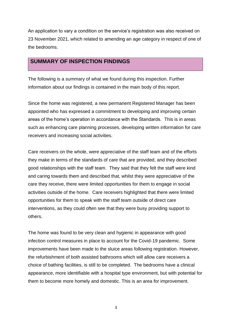An application to vary a condition on the service's registration was also received on 23 November 2021, which related to amending an age category in respect of one of the bedrooms.

#### **SUMMARY OF INSPECTION FINDINGS**

The following is a summary of what we found during this inspection. Further information about our findings is contained in the main body of this report.

Since the home was registered, a new permanent Registered Manager has been appointed who has expressed a commitment to developing and improving certain areas of the home's operation in accordance with the Standards. This is in areas such as enhancing care planning processes, developing written information for care receivers and increasing social activities.

Care receivers on the whole, were appreciative of the staff team and of the efforts they make in terms of the standards of care that are provided, and they described good relationships with the staff team. They said that they felt the staff were kind and caring towards them and described that, whilst they were appreciative of the care they receive, there were limited opportunities for them to engage in social activities outside of the home. Care receivers highlighted that there were limited opportunities for them to speak with the staff team outside of direct care interventions, as they could often see that they were busy providing support to others.

The home was found to be very clean and hygienic in appearance with good infection control measures in place to account for the Covid-19 pandemic. Some improvements have been made to the sluice areas following registration. However, the refurbishment of both assisted bathrooms which will allow care receivers a choice of bathing facilities, is still to be completed. The bedrooms have a clinical appearance, more identifiable with a hospital type environment, but with potential for them to become more homely and domestic. This is an area for improvement.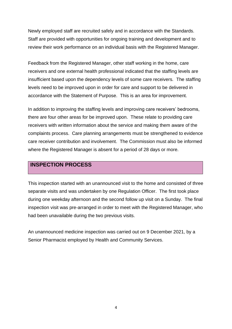Newly employed staff are recruited safely and in accordance with the Standards. Staff are provided with opportunities for ongoing training and development and to review their work performance on an individual basis with the Registered Manager.

Feedback from the Registered Manager, other staff working in the home, care receivers and one external health professional indicated that the staffing levels are insufficient based upon the dependency levels of some care receivers. The staffing levels need to be improved upon in order for care and support to be delivered in accordance with the Statement of Purpose. This is an area for improvement.

In addition to improving the staffing levels and improving care receivers' bedrooms, there are four other areas for be improved upon. These relate to providing care receivers with written information about the service and making them aware of the complaints process. Care planning arrangements must be strengthened to evidence care receiver contribution and involvement. The Commission must also be informed where the Registered Manager is absent for a period of 28 days or more.

#### **INSPECTION PROCESS**

This inspection started with an unannounced visit to the home and consisted of three separate visits and was undertaken by one Regulation Officer. The first took place during one weekday afternoon and the second follow up visit on a Sunday. The final inspection visit was pre-arranged in order to meet with the Registered Manager, who had been unavailable during the two previous visits.

An unannounced medicine inspection was carried out on 9 December 2021, by a Senior Pharmacist employed by Health and Community Services.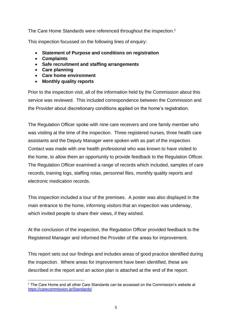The Care Home Standards were referenced throughout the inspection.<sup>1</sup>

This inspection focussed on the following lines of enquiry:

- **Statement of Purpose and conditions on registration**
- **Complaints**
- **Safe recruitment and staffing arrangements**
- **Care planning**
- **Care home environment**
- **Monthly quality reports**

Prior to the inspection visit, all of the information held by the Commission about this service was reviewed. This included correspondence between the Commission and the Provider about discretionary conditions applied on the home's registration.

The Regulation Officer spoke with nine care receivers and one family member who was visiting at the time of the inspection. Three registered nurses, three health care assistants and the Deputy Manager were spoken with as part of the inspection. Contact was made with one health professional who was known to have visited to the home, to allow them an opportunity to provide feedback to the Regulation Officer. The Regulation Officer examined a range of records which included, samples of care records, training logs, staffing rotas, personnel files, monthly quality reports and electronic medication records.

This inspection included a tour of the premises. A poster was also displayed in the main entrance to the home, informing visitors that an inspection was underway, which invited people to share their views, if they wished.

At the conclusion of the inspection, the Regulation Officer provided feedback to the Registered Manager and informed the Provider of the areas for improvement.

This report sets out our findings and includes areas of good practice identified during the inspection. Where areas for improvement have been identified, these are described in the report and an action plan is attached at the end of the report.

 $1$  The Care Home and all other Care Standards can be accessed on the Commission's website at [https://carecommission.je/Standards/](https://carecommission.je/standards/)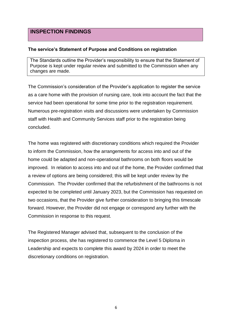### **INSPECTION FINDINGS**

#### **The service's Statement of Purpose and Conditions on registration**

The Standards outline the Provider's responsibility to ensure that the Statement of Purpose is kept under regular review and submitted to the Commission when any changes are made.

The Commission's consideration of the Provider's application to register the service as a care home with the provision of nursing care, took into account the fact that the service had been operational for some time prior to the registration requirement. Numerous pre-registration visits and discussions were undertaken by Commission staff with Health and Community Services staff prior to the registration being concluded.

The home was registered with discretionary conditions which required the Provider to inform the Commission, how the arrangements for access into and out of the home could be adapted and non-operational bathrooms on both floors would be improved. In relation to access into and out of the home, the Provider confirmed that a review of options are being considered; this will be kept under review by the Commission. The Provider confirmed that the refurbishment of the bathrooms is not expected to be completed until January 2023, but the Commission has requested on two occasions, that the Provider give further consideration to bringing this timescale forward. However, the Provider did not engage or correspond any further with the Commission in response to this request.

The Registered Manager advised that, subsequent to the conclusion of the inspection process, she has registered to commence the Level 5 Diploma in Leadership and expects to complete this award by 2024 in order to meet the discretionary conditions on registration.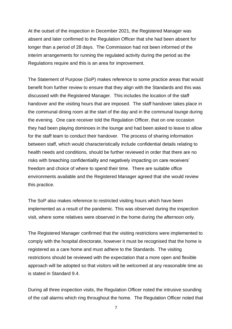At the outset of the inspection in December 2021, the Registered Manager was absent and later confirmed to the Regulation Officer that she had been absent for longer than a period of 28 days. The Commission had not been informed of the interim arrangements for running the regulated activity during the period as the Regulations require and this is an area for improvement.

The Statement of Purpose (SoP) makes reference to some practice areas that would benefit from further review to ensure that they align with the Standards and this was discussed with the Registered Manager. This includes the location of the staff handover and the visiting hours that are imposed. The staff handover takes place in the communal dining room at the start of the day and in the communal lounge during the evening. One care receiver told the Regulation Officer, that on one occasion they had been playing dominoes in the lounge and had been asked to leave to allow for the staff team to conduct their handover. The process of sharing information between staff, which would characteristically include confidential details relating to health needs and conditions, should be further reviewed in order that there are no risks with breaching confidentiality and negatively impacting on care receivers' freedom and choice of where to spend their time. There are suitable office environments available and the Registered Manager agreed that she would review this practice.

The SoP also makes reference to restricted visiting hours which have been implemented as a result of the pandemic. This was observed during the inspection visit, where some relatives were observed in the home during the afternoon only.

The Registered Manager confirmed that the visiting restrictions were implemented to comply with the hospital directorate, however it must be recognised that the home is registered as a care home and must adhere to the Standards. The visiting restrictions should be reviewed with the expectation that a more open and flexible approach will be adopted so that visitors will be welcomed at any reasonable time as is stated in Standard 9.4.

During all three inspection visits, the Regulation Officer noted the intrusive sounding of the call alarms which ring throughout the home. The Regulation Officer noted that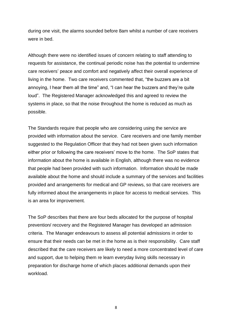during one visit, the alarms sounded before 8am whilst a number of care receivers were in bed.

Although there were no identified issues of concern relating to staff attending to requests for assistance, the continual periodic noise has the potential to undermine care receivers' peace and comfort and negatively affect their overall experience of living in the home. Two care receivers commented that, "the buzzers are a bit annoying, I hear them all the time" and, "I can hear the buzzers and they're quite loud". The Registered Manager acknowledged this and agreed to review the systems in place, so that the noise throughout the home is reduced as much as possible.

The Standards require that people who are considering using the service are provided with information about the service. Care receivers and one family member suggested to the Regulation Officer that they had not been given such information either prior or following the care receivers' move to the home. The SoP states that information about the home is available in English, although there was no evidence that people had been provided with such information. Information should be made available about the home and should include a summary of the services and facilities provided and arrangements for medical and GP reviews, so that care receivers are fully informed about the arrangements in place for access to medical services. This is an area for improvement.

The SoP describes that there are four beds allocated for the purpose of hospital prevention/ recovery and the Registered Manager has developed an admission criteria. The Manager endeavours to assess all potential admissions in order to ensure that their needs can be met in the home as is their responsibility. Care staff described that the care receivers are likely to need a more concentrated level of care and support, due to helping them re learn everyday living skills necessary in preparation for discharge home of which places additional demands upon their workload.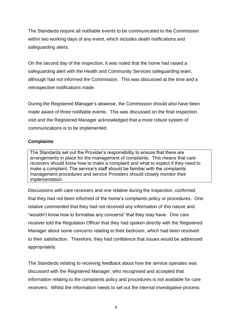The Standards require all notifiable events to be communicated to the Commission within two working days of any event, which includes death notifications and safeguarding alerts.

On the second day of the inspection, it was noted that the home had raised a safeguarding alert with the Health and Community Services safeguarding team, although had not informed the Commission. This was discussed at the time and a retrospective notifications made.

During the Registered Manager's absence, the Commission should also have been made aware of three notifiable events. This was discussed on the final inspection visit and the Registered Manager acknowledged that a more robust system of communications is to be implemented.

#### **Complaints**

The Standards set out the Provider's responsibility to ensure that there are arrangements in place for the management of complaints. This means that care receivers should know how to make a complaint and what to expect if they need to make a complaint. The service's staff should be familiar with the complaints management procedures and service Providers should closely monitor their implementation.

Discussions with care receivers and one relative during the inspection, confirmed that they had not been informed of the home's complaints policy or procedures. One relative commented that they had not received any information of this nature and "wouldn't know how to formalise any concerns" that they may have. One care receiver told the Regulation Officer that they had spoken directly with the Registered Manager about some concerns relating to their bedroom, which had been resolved to their satisfaction. Therefore, they had confidence that issues would be addressed appropriately.

The Standards relating to receiving feedback about how the service operates was discussed with the Registered Manager, who recognised and accepted that information relating to the complaints policy and procedures is not available for care receivers. Whilst the information needs to set out the internal investigative process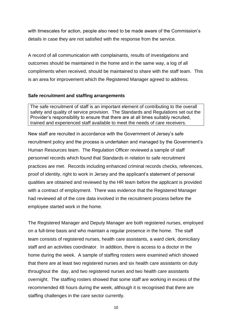with timescales for action, people also need to be made aware of the Commission's details in case they are not satisfied with the response from the service.

A record of all communication with complainants, results of investigations and outcomes should be maintained in the home and in the same way, a log of all compliments when received, should be maintained to share with the staff team. This is an area for improvement which the Registered Manager agreed to address.

#### **Safe recruitment and staffing arrangements**

The safe recruitment of staff is an important element of contributing to the overall safety and quality of service provision. The Standards and Regulations set out the Provider's responsibility to ensure that there are at all times suitably recruited, trained and experienced staff available to meet the needs of care receivers.

New staff are recruited in accordance with the Government of Jersey's safe recruitment policy and the process is undertaken and managed by the Government's Human Resources team. The Regulation Officer reviewed a sample of staff personnel records which found that Standards in relation to safe recruitment practices are met. Records including enhanced criminal records checks, references, proof of identity, right to work in Jersey and the applicant's statement of personal qualities are obtained and reviewed by the HR team before the applicant is provided with a contract of employment. There was evidence that the Registered Manager had reviewed all of the core data involved in the recruitment process before the employee started work in the home.

The Registered Manager and Deputy Manager are both registered nurses, employed on a full-time basis and who maintain a regular presence in the home. The staff team consists of registered nurses, health care assistants, a ward clerk, domiciliary staff and an activities coordinator. In addition, there is access to a doctor in the home during the week. A sample of staffing rosters were examined which showed that there are at least two registered nurses and six health care assistants on duty throughout the day, and two registered nurses and two health care assistants overnight. The staffing rosters showed that some staff are working in excess of the recommended 48 hours during the week, although it is recognised that there are staffing challenges in the care sector currently.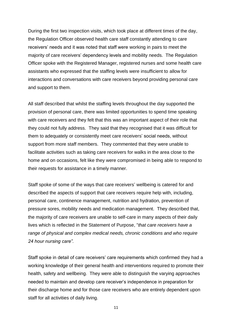During the first two inspection visits, which took place at different times of the day, the Regulation Officer observed health care staff constantly attending to care receivers' needs and it was noted that staff were working in pairs to meet the majority of care receivers' dependency levels and mobility needs. The Regulation Officer spoke with the Registered Manager, registered nurses and some health care assistants who expressed that the staffing levels were insufficient to allow for interactions and conversations with care receivers beyond providing personal care and support to them.

All staff described that whilst the staffing levels throughout the day supported the provision of personal care, there was limited opportunities to spend time speaking with care receivers and they felt that this was an important aspect of their role that they could not fully address. They said that they recognised that it was difficult for them to adequately or consistently meet care receivers' social needs, without support from more staff members. They commented that they were unable to facilitate activities such as taking care receivers for walks in the area close to the home and on occasions, felt like they were compromised in being able to respond to their requests for assistance in a timely manner.

Staff spoke of some of the ways that care receivers' wellbeing is catered for and described the aspects of support that care receivers require help with, including, personal care, continence management, nutrition and hydration, prevention of pressure sores, mobility needs and medication management. They described that, the majority of care receivers are unable to self-care in many aspects of their daily lives which is reflected in the Statement of Purpose, "*that care receivers have a range of physical and complex medical needs, chronic conditions and who require 24 hour nursing care".*

Staff spoke in detail of care receivers' care requirements which confirmed they had a working knowledge of their general health and interventions required to promote their health, safety and wellbeing. They were able to distinguish the varying approaches needed to maintain and develop care receiver's independence in preparation for their discharge home and for those care receivers who are entirely dependent upon staff for all activities of daily living.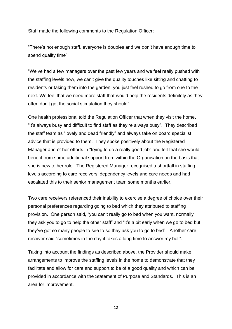Staff made the following comments to the Regulation Officer:

"There's not enough staff, everyone is doubles and we don't have enough time to spend quality time"

"We've had a few managers over the past few years and we feel really pushed with the staffing levels now, we can't give the quality touches like sitting and chatting to residents or taking them into the garden, you just feel rushed to go from one to the next. We feel that we need more staff that would help the residents definitely as they often don't get the social stimulation they should"

One health professional told the Regulation Officer that when they visit the home, "it's always busy and difficult to find staff as they're always busy". They described the staff team as "lovely and dead friendly" and always take on board specialist advice that is provided to them. They spoke positively about the Registered Manager and of her efforts in "trying to do a really good job" and felt that she would benefit from some additional support from within the Organisation on the basis that she is new to her role. The Registered Manager recognised a shortfall in staffing levels according to care receivers' dependency levels and care needs and had escalated this to their senior management team some months earlier.

Two care receivers referenced their inability to exercise a degree of choice over their personal preferences regarding going to bed which they attributed to staffing provision. One person said, "you can't really go to bed when you want, normally they ask you to go to help the other staff" and "it's a bit early when we go to bed but they've got so many people to see to so they ask you to go to bed". Another care receiver said "sometimes in the day it takes a long time to answer my bell".

Taking into account the findings as described above, the Provider should make arrangements to improve the staffing levels in the home to demonstrate that they facilitate and allow for care and support to be of a good quality and which can be provided in accordance with the Statement of Purpose and Standards. This is an area for improvement.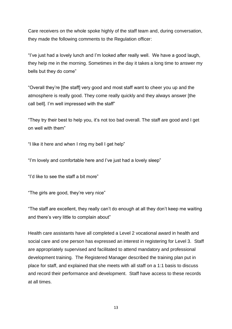Care receivers on the whole spoke highly of the staff team and, during conversation, they made the following comments to the Regulation officer:

"I've just had a lovely lunch and I'm looked after really well. We have a good laugh, they help me in the morning. Sometimes in the day it takes a long time to answer my bells but they do come"

"Overall they're [the staff] very good and most staff want to cheer you up and the atmosphere is really good. They come really quickly and they always answer [the call bell]. I'm well impressed with the staff"

"They try their best to help you, it's not too bad overall. The staff are good and I get on well with them"

"I like it here and when I ring my bell I get help"

"I'm lovely and comfortable here and I've just had a lovely sleep"

"I'd like to see the staff a bit more"

"The girls are good, they're very nice"

"The staff are excellent, they really can't do enough at all they don't keep me waiting and there's very little to complain about"

Health care assistants have all completed a Level 2 vocational award in health and social care and one person has expressed an interest in registering for Level 3. Staff are appropriately supervised and facilitated to attend mandatory and professional development training. The Registered Manager described the training plan put in place for staff, and explained that she meets with all staff on a 1:1 basis to discuss and record their performance and development. Staff have access to these records at all times.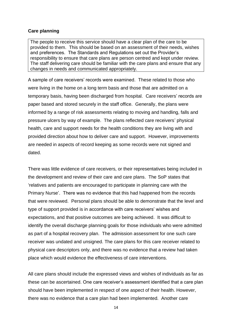#### **Care planning**

The people to receive this service should have a clear plan of the care to be provided to them. This should be based on an assessment of their needs, wishes and preferences. The Standards and Regulations set out the Provider's responsibility to ensure that care plans are person centred and kept under review. The staff delivering care should be familiar with the care plans and ensure that any changes in needs and communicated appropriately.

A sample of care receivers' records were examined. These related to those who were living in the home on a long term basis and those that are admitted on a temporary basis, having been discharged from hospital. Care receivers' records are paper based and stored securely in the staff office. Generally, the plans were informed by a range of risk assessments relating to moving and handling, falls and pressure ulcers by way of example. The plans reflected care receivers' physical health, care and support needs for the health conditions they are living with and provided direction about how to deliver care and support. However, improvements are needed in aspects of record keeping as some records were not signed and dated.

There was little evidence of care receivers, or their representatives being included in the development and review of their care and care plans. The SoP states that 'relatives and patients are encouraged to participate in planning care with the Primary Nurse'. There was no evidence that this had happened from the records that were reviewed. Personal plans should be able to demonstrate that the level and type of support provided is in accordance with care receivers' wishes and expectations, and that positive outcomes are being achieved. It was difficult to identify the overall discharge planning goals for those individuals who were admitted as part of a hospital recovery plan. The admission assessment for one such care receiver was undated and unsigned. The care plans for this care receiver related to physical care descriptors only, and there was no evidence that a review had taken place which would evidence the effectiveness of care interventions.

All care plans should include the expressed views and wishes of individuals as far as these can be ascertained. One care receiver's assessment identified that a care plan should have been implemented in respect of one aspect of their health. However, there was no evidence that a care plan had been implemented. Another care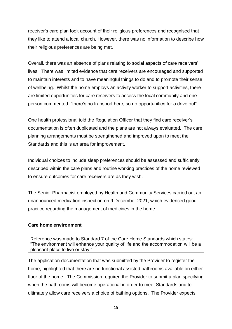receiver's care plan took account of their religious preferences and recognised that they like to attend a local church. However, there was no information to describe how their religious preferences are being met.

Overall, there was an absence of plans relating to social aspects of care receivers' lives. There was limited evidence that care receivers are encouraged and supported to maintain interests and to have meaningful things to do and to promote their sense of wellbeing. Whilst the home employs an activity worker to support activities, there are limited opportunities for care receivers to access the local community and one person commented, "there's no transport here, so no opportunities for a drive out".

One health professional told the Regulation Officer that they find care receiver's documentation is often duplicated and the plans are not always evaluated. The care planning arrangements must be strengthened and improved upon to meet the Standards and this is an area for improvement.

Individual choices to include sleep preferences should be assessed and sufficiently described within the care plans and routine working practices of the home reviewed to ensure outcomes for care receivers are as they wish.

The Senior Pharmacist employed by Health and Community Services carried out an unannounced medication inspection on 9 December 2021, which evidenced good practice regarding the management of medicines in the home.

#### **Care home environment**

Reference was made to Standard 7 of the Care Home Standards which states: "The environment will enhance your quality of life and the accommodation will be a pleasant place to live or stay."

The application documentation that was submitted by the Provider to register the home, highlighted that there are no functional assisted bathrooms available on either floor of the home. The Commission required the Provider to submit a plan specifying when the bathrooms will become operational in order to meet Standards and to ultimately allow care receivers a choice of bathing options. The Provider expects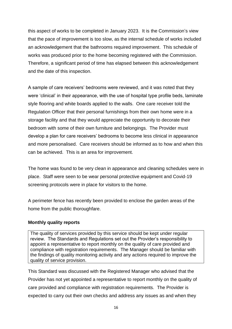this aspect of works to be completed in January 2023. It is the Commission's view that the pace of improvement is too slow, as the internal schedule of works included an acknowledgement that the bathrooms required improvement. This schedule of works was produced prior to the home becoming registered with the Commission. Therefore, a significant period of time has elapsed between this acknowledgement and the date of this inspection.

A sample of care receivers' bedrooms were reviewed, and it was noted that they were 'clinical' in their appearance, with the use of hospital type profile beds, laminate style flooring and white boards applied to the walls. One care receiver told the Regulation Officer that their personal furnishings from their own home were in a storage facility and that they would appreciate the opportunity to decorate their bedroom with some of their own furniture and belongings. The Provider must develop a plan for care receivers' bedrooms to become less clinical in appearance and more personalised. Care receivers should be informed as to how and when this can be achieved. This is an area for improvement.

The home was found to be very clean in appearance and cleaning schedules were in place. Staff were seen to be wear personal protective equipment and Covid-19 screening protocols were in place for visitors to the home.

A perimeter fence has recently been provided to enclose the garden areas of the home from the public thoroughfare.

#### **Monthly quality reports**

The quality of services provided by this service should be kept under regular review. The Standards and Regulations set out the Provider's responsibility to appoint a representative to report monthly on the quality of care provided and compliance with registration requirements. The Manager should be familiar with the findings of quality monitoring activity and any actions required to improve the quality of service provision.

This Standard was discussed with the Registered Manager who advised that the Provider has not yet appointed a representative to report monthly on the quality of care provided and compliance with registration requirements. The Provider is expected to carry out their own checks and address any issues as and when they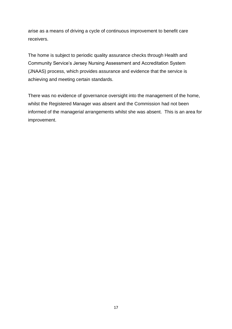arise as a means of driving a cycle of continuous improvement to benefit care receivers.

The home is subject to periodic quality assurance checks through Health and Community Service's Jersey Nursing Assessment and Accreditation System (JNAAS) process, which provides assurance and evidence that the service is achieving and meeting certain standards.

There was no evidence of governance oversight into the management of the home, whilst the Registered Manager was absent and the Commission had not been informed of the managerial arrangements whilst she was absent. This is an area for improvement.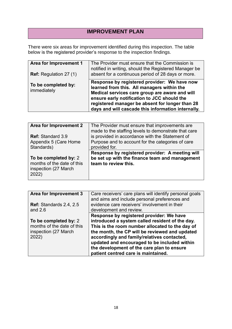## **IMPROVEMENT PLAN**

There were six areas for improvement identified during this inspection. The table below is the registered provider's response to the inspection findings.

| <b>Area for Improvement 1</b><br><b>Ref:</b> Regulation 27 (1) | The Provider must ensure that the Commission is<br>notified in writing, should the Registered Manager be<br>absent for a continuous period of 28 days or more.                                                                                                                                       |
|----------------------------------------------------------------|------------------------------------------------------------------------------------------------------------------------------------------------------------------------------------------------------------------------------------------------------------------------------------------------------|
| To be completed by:<br>immediately                             | Response by registered provider: We have now<br>learned from this. All managers within the<br>Medical services care group are aware and will<br>ensure early notification to JCC should the<br>registered manager be absent for longer than 28<br>days and will cascade this information internally. |

| <b>Area for Improvement 2</b> | The Provider must ensure that improvements are<br>made to the staffing levels to demonstrate that care |
|-------------------------------|--------------------------------------------------------------------------------------------------------|
| <b>Ref: Standard 3.9</b>      | is provided in accordance with the Statement of                                                        |
| Appendix 5 (Care Home         | Purpose and to account for the categories of care                                                      |
| Standards)                    | provided for.                                                                                          |
|                               |                                                                                                        |
|                               | Response by registered provider: A meeting will                                                        |
| To be completed by: 2         | be set up with the finance team and management                                                         |
| months of the date of this    | team to review this.                                                                                   |
| inspection (27 March          |                                                                                                        |
| 2022)                         |                                                                                                        |

| Area for Improvement 3         | Care receivers' care plans will identify personal goals<br>and aims and include personal preferences and |
|--------------------------------|----------------------------------------------------------------------------------------------------------|
| <b>Ref: Standards 2.4, 2.5</b> | evidence care receivers' involvement in their                                                            |
| and $2.6$                      | development and review.                                                                                  |
|                                | Response by registered provider: We have                                                                 |
| To be completed by: 2          | introduced a system called resident of the day.                                                          |
| months of the date of this     | This is the room number allocated to the day of                                                          |
| inspection (27 March           | the month, the CP will be reviewed and updated                                                           |
| 2022)                          | accordingly and family/relatives contacted,                                                              |
|                                | updated and encouraged to be included within                                                             |
|                                | the development of the care plan to ensure                                                               |
|                                | patient centred care is maintained.                                                                      |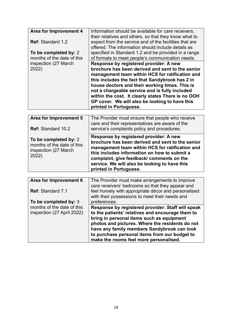| Area for Improvement 4         | Information should be available for care receivers,<br>their relatives and others, so that they know what to |
|--------------------------------|--------------------------------------------------------------------------------------------------------------|
| <b>Ref: Standard 1.2</b>       | expect from the service and of the facilities that are<br>offered. The information should include details as |
| To be completed by: 2          | specified in Standard 1.2 and be provided in a range                                                         |
| months of the date of this     | of formats to meet people's communication needs.                                                             |
| inspection (27 March)<br>2022) | Response by registered provider: A new<br>brochure has been derived and sent to the senior                   |
|                                | management team within HCS for ratification and                                                              |
|                                | this includes the fact that Sandybrook has 2 in                                                              |
|                                | house doctors and their working times. This is<br>not a chargeable service and is fully included             |
|                                | within the cost. It clearly states There is no OOH                                                           |
|                                | GP cover. We will also be looking to have this                                                               |
|                                | printed in Portuguese.                                                                                       |
|                                |                                                                                                              |
| Area for Improvement 5         | The Provider must ensure that neonle who receive                                                             |

| Area for Improvement 5<br><b>Ref: Standard 10.2</b>                                  | The Provider must ensure that people who receive<br>care and their representatives are aware of the<br>service's complaints policy and procedures.                                                                                                                                                                    |
|--------------------------------------------------------------------------------------|-----------------------------------------------------------------------------------------------------------------------------------------------------------------------------------------------------------------------------------------------------------------------------------------------------------------------|
| To be completed by: 2<br>months of the date of this<br>inspection (27 March<br>2022) | Response by registered provider: A new<br>brochure has been derived and sent to the senior<br>management team within HCS for ratification and<br>this includes information on how to submit a<br>complaint, give feedback/ comments on the<br>service. We will also be looking to have this<br>printed in Portuguese. |

| Area for Improvement 6                                   | The Provider must make arrangements to improve<br>care receivers' bedrooms so that they appear and                                                                                                                                                                                                                                              |
|----------------------------------------------------------|-------------------------------------------------------------------------------------------------------------------------------------------------------------------------------------------------------------------------------------------------------------------------------------------------------------------------------------------------|
| <b>Ref: Standard 7.1</b>                                 | feel homely with appropriate décor and personalised<br>with their possessions to meet their needs and                                                                                                                                                                                                                                           |
| To be completed by: 3                                    | preferences.                                                                                                                                                                                                                                                                                                                                    |
| months of the date of this<br>inspection (27 April 2022) | Response by registered provider: Staff will speak<br>to the patients' relatives and encourage them to<br>bring in personal items such as equipment<br>photos and pictures. Where the residents do not<br>have any family members Sandybrook can look<br>to purchase personal items from our budget to<br>make the rooms feel more personalised. |